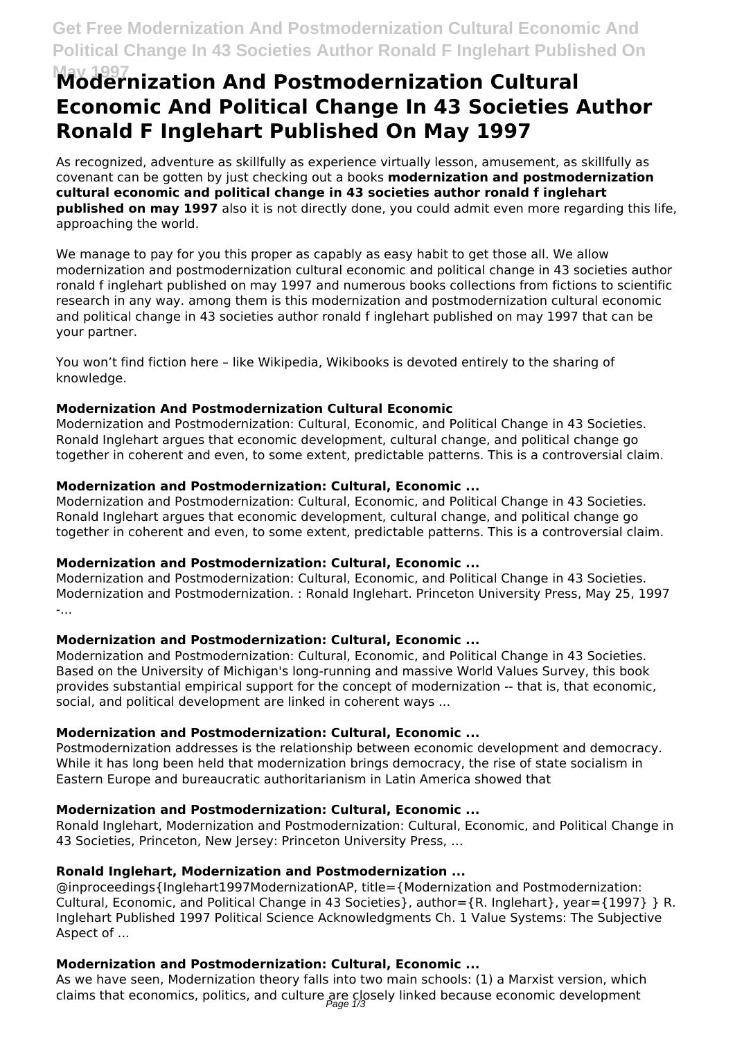# **May 1997 Modernization And Postmodernization Cultural Economic And Political Change In 43 Societies Author Ronald F Inglehart Published On May 1997**

As recognized, adventure as skillfully as experience virtually lesson, amusement, as skillfully as covenant can be gotten by just checking out a books **modernization and postmodernization cultural economic and political change in 43 societies author ronald f inglehart published on may 1997** also it is not directly done, you could admit even more regarding this life, approaching the world.

We manage to pay for you this proper as capably as easy habit to get those all. We allow modernization and postmodernization cultural economic and political change in 43 societies author ronald f inglehart published on may 1997 and numerous books collections from fictions to scientific research in any way. among them is this modernization and postmodernization cultural economic and political change in 43 societies author ronald f inglehart published on may 1997 that can be your partner.

You won't find fiction here – like Wikipedia, Wikibooks is devoted entirely to the sharing of knowledge.

# **Modernization And Postmodernization Cultural Economic**

Modernization and Postmodernization: Cultural, Economic, and Political Change in 43 Societies. Ronald Inglehart argues that economic development, cultural change, and political change go together in coherent and even, to some extent, predictable patterns. This is a controversial claim.

# **Modernization and Postmodernization: Cultural, Economic ...**

Modernization and Postmodernization: Cultural, Economic, and Political Change in 43 Societies. Ronald Inglehart argues that economic development, cultural change, and political change go together in coherent and even, to some extent, predictable patterns. This is a controversial claim.

#### **Modernization and Postmodernization: Cultural, Economic ...**

Modernization and Postmodernization: Cultural, Economic, and Political Change in 43 Societies. Modernization and Postmodernization. : Ronald Inglehart. Princeton University Press, May 25, 1997 -...

# **Modernization and Postmodernization: Cultural, Economic ...**

Modernization and Postmodernization: Cultural, Economic, and Political Change in 43 Societies. Based on the University of Michigan's long-running and massive World Values Survey, this book provides substantial empirical support for the concept of modernization -- that is, that economic, social, and political development are linked in coherent ways ...

# **Modernization and Postmodernization: Cultural, Economic ...**

Postmodernization addresses is the relationship between economic development and democracy. While it has long been held that modernization brings democracy, the rise of state socialism in Eastern Europe and bureaucratic authoritarianism in Latin America showed that

# **Modernization and Postmodernization: Cultural, Economic ...**

Ronald Inglehart, Modernization and Postmodernization: Cultural, Economic, and Political Change in 43 Societies, Princeton, New Jersey: Princeton University Press, …

# **Ronald Inglehart, Modernization and Postmodernization ...**

@inproceedings{Inglehart1997ModernizationAP, title={Modernization and Postmodernization: Cultural, Economic, and Political Change in 43 Societies}, author={R. Inglehart}, year={1997} } R. Inglehart Published 1997 Political Science Acknowledgments Ch. 1 Value Systems: The Subjective Aspect of ...

# **Modernization and Postmodernization: Cultural, Economic ...**

As we have seen, Modernization theory falls into two main schools: (1) a Marxist version, which claims that economics, politics, and culture are closely linked because economic development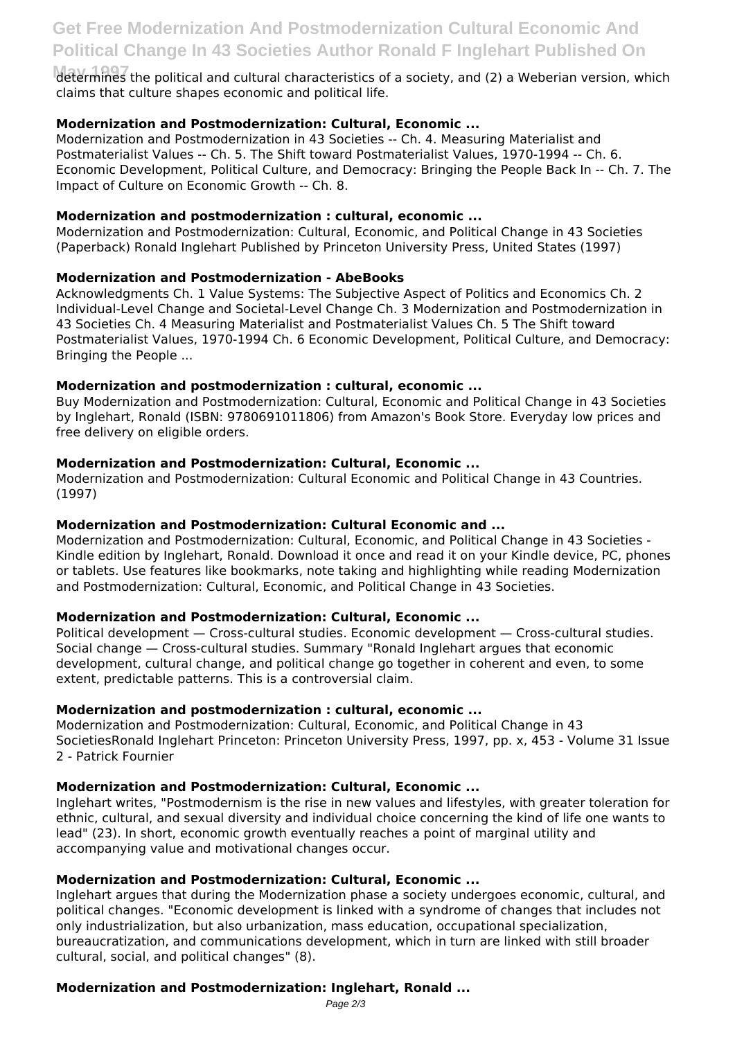# **Get Free Modernization And Postmodernization Cultural Economic And Political Change In 43 Societies Author Ronald F Inglehart Published On**

determines the political and cultural characteristics of a society, and (2) a Weberian version, which claims that culture shapes economic and political life.

# **Modernization and Postmodernization: Cultural, Economic ...**

Modernization and Postmodernization in 43 Societies -- Ch. 4. Measuring Materialist and Postmaterialist Values -- Ch. 5. The Shift toward Postmaterialist Values, 1970-1994 -- Ch. 6. Economic Development, Political Culture, and Democracy: Bringing the People Back In -- Ch. 7. The Impact of Culture on Economic Growth -- Ch. 8.

### **Modernization and postmodernization : cultural, economic ...**

Modernization and Postmodernization: Cultural, Economic, and Political Change in 43 Societies (Paperback) Ronald Inglehart Published by Princeton University Press, United States (1997)

#### **Modernization and Postmodernization - AbeBooks**

Acknowledgments Ch. 1 Value Systems: The Subjective Aspect of Politics and Economics Ch. 2 Individual-Level Change and Societal-Level Change Ch. 3 Modernization and Postmodernization in 43 Societies Ch. 4 Measuring Materialist and Postmaterialist Values Ch. 5 The Shift toward Postmaterialist Values, 1970-1994 Ch. 6 Economic Development, Political Culture, and Democracy: Bringing the People ...

#### **Modernization and postmodernization : cultural, economic ...**

Buy Modernization and Postmodernization: Cultural, Economic and Political Change in 43 Societies by Inglehart, Ronald (ISBN: 9780691011806) from Amazon's Book Store. Everyday low prices and free delivery on eligible orders.

# **Modernization and Postmodernization: Cultural, Economic ...**

Modernization and Postmodernization: Cultural Economic and Political Change in 43 Countries. (1997)

#### **Modernization and Postmodernization: Cultural Economic and ...**

Modernization and Postmodernization: Cultural, Economic, and Political Change in 43 Societies - Kindle edition by Inglehart, Ronald. Download it once and read it on your Kindle device, PC, phones or tablets. Use features like bookmarks, note taking and highlighting while reading Modernization and Postmodernization: Cultural, Economic, and Political Change in 43 Societies.

# **Modernization and Postmodernization: Cultural, Economic ...**

Political development — Cross-cultural studies. Economic development — Cross-cultural studies. Social change — Cross-cultural studies. Summary "Ronald Inglehart argues that economic development, cultural change, and political change go together in coherent and even, to some extent, predictable patterns. This is a controversial claim.

# **Modernization and postmodernization : cultural, economic ...**

Modernization and Postmodernization: Cultural, Economic, and Political Change in 43 SocietiesRonald Inglehart Princeton: Princeton University Press, 1997, pp. x, 453 - Volume 31 Issue 2 - Patrick Fournier

# **Modernization and Postmodernization: Cultural, Economic ...**

Inglehart writes, "Postmodernism is the rise in new values and lifestyles, with greater toleration for ethnic, cultural, and sexual diversity and individual choice concerning the kind of life one wants to lead" (23). In short, economic growth eventually reaches a point of marginal utility and accompanying value and motivational changes occur.

# **Modernization and Postmodernization: Cultural, Economic ...**

Inglehart argues that during the Modernization phase a society undergoes economic, cultural, and political changes. "Economic development is linked with a syndrome of changes that includes not only industrialization, but also urbanization, mass education, occupational specialization, bureaucratization, and communications development, which in turn are linked with still broader cultural, social, and political changes" (8).

# **Modernization and Postmodernization: Inglehart, Ronald ...**